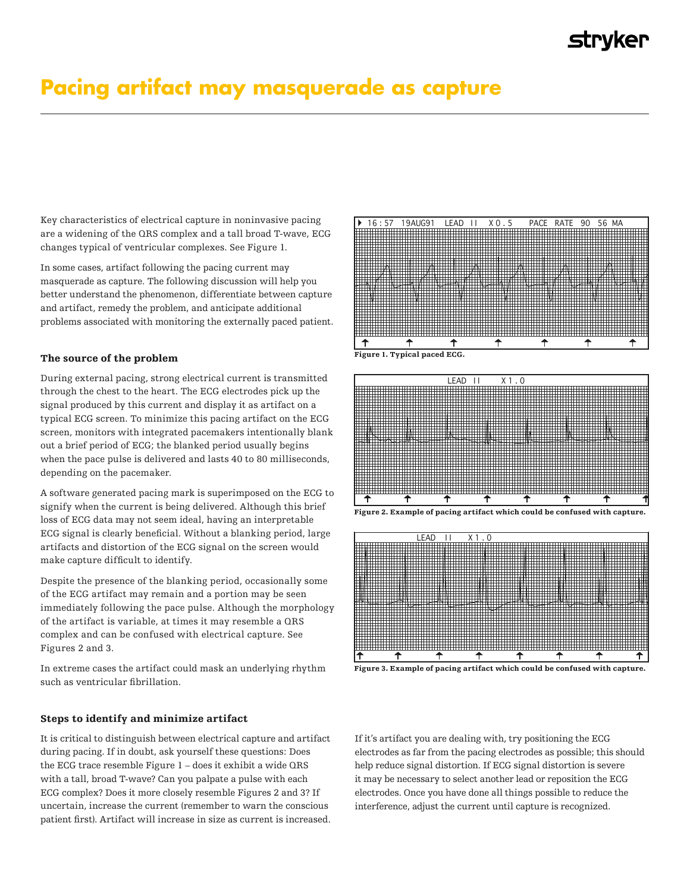# Pacing artifact may masquerade as capture

Key characteristics of electrical capture in noninvasive pacing Key characteristics of electrical capture in noninvasive pacing are a widening of the QRS complex and a tall broad T-wave, ECG are a widening of the QRS complex and a tall broad T-wave, ECG changes typical of ventricular complexes. See Figure 1. changes typical of ventricular complexes. *See Figure 1.*

In some cases, artifact following the pacing current may In some cases, artifact following the pacing current may masquerade as capture. The following discussion will help you masquerade as capture. The following discussion will help you better understand the phenomenon, differentiate between capture better understand the phenomenon, differentiate between capture and artifact, remedy the problem, and anticipate additional and artifact, remedy the problem, and anticipate additional problems associated with monitoring the externally paced patient. problems associated with monitoring the externally paced patient.

# The source of the problem

During external pacing, strong electrical current is transmitted During external pacing, strong electrical current is transmitted through the chest to the heart. The ECG electrodes pick up the through the chest to the heart. The ECG electrodes pick up the signal produced by this current and display it as artifact on a signal produced by this current and display it as artifact on a typical  $\frac{1}{2}$  typical ECG screen. To minimize this pacing artifact on the ECG  $\overline{\phantom{a}}^{11}$  screen, monitors with integrated pacemakers intentionally blank out a brief period of ECG; the blanked period usually begins when the pace pulse is delivered and lasts 40 to 80 milliseconds, depending on the pacemaker. pacemaker.

A software generated pacing mark is superimposed on the ECG to A software generated pacing mark is superimposed on the ECG signify when the current is being delivered. Although this brief loss of ECG data may not seem ideal, having an interpretable ECG signal is clearly beneficial. Without a blanking period, large artifacts and distortion of the ECG signal on the screen would make capture difficult to identify.

Despite the presence of the blanking period, occasionally some of the ECG artifact may remain and a portion may be seen immediately following the pace pulse. Although the morphology of the artifact is variable, at times it may resemble a QRS complex and can be confused with electrical capture. See confused with electrical capture. *See Figures 2 and 3.* Figures 2 and 3.

In extreme cases the artifact could mask an underlying rhythm In extreme cases the artifact could mask an underlying rhythm such such as ventricular fibrillation. In extreme cases the an

# Steps to identify and minimize artifact

It is critical to distinguish between electrical capture and artifact during pacing. If in doubt, ask yourself these questions: Does the ECG trace resemble Figure  $1$  – does it exhibit a wide QRS with a tall, broad T-wave? Can you palpate a pulse with each ECG complex? Does it more closely resemble Figures 2 and 3? If uncertain, increase the current (remember to warn the conscious patient first). Artifact will increase in size as current is increased.





If it's artifact you are dealing with, try positioning the ECG electrodes as far from the pacing electrodes as possible; this should help reduce signal distortion. If ECG signal distortion is severe it may be necessary to select another lead or reposition the ECG electrodes. Once you have done all things possible to reduce the interference, adjust the current until capture is recognized.